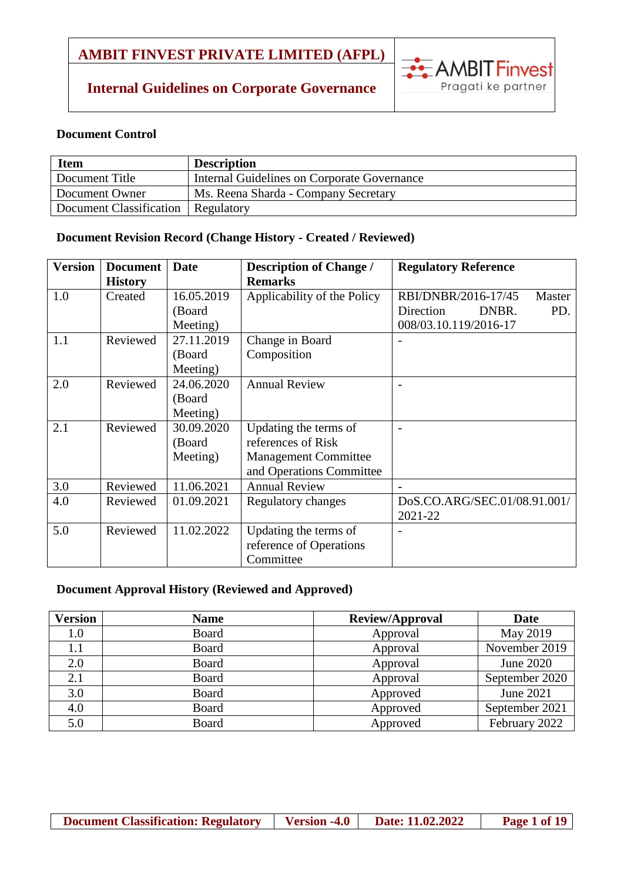### **Internal Guidelines on Corporate Governance**



#### **Document Control**

| <b>Item</b>                          | <b>Description</b>                          |
|--------------------------------------|---------------------------------------------|
| Document Title                       | Internal Guidelines on Corporate Governance |
| Document Owner                       | Ms. Reena Sharda - Company Secretary        |
| Document Classification   Regulatory |                                             |

### **Document Revision Record (Change History - Created / Reviewed)**

| <b>Version</b> | <b>Document</b> | <b>Date</b> | <b>Description of Change /</b> | <b>Regulatory Reference</b>   |
|----------------|-----------------|-------------|--------------------------------|-------------------------------|
|                | <b>History</b>  |             | <b>Remarks</b>                 |                               |
| 1.0            | Created         | 16.05.2019  | Applicability of the Policy    | RBI/DNBR/2016-17/45<br>Master |
|                |                 | (Board      |                                | Direction<br>DNBR.<br>PD.     |
|                |                 | Meeting)    |                                | 008/03.10.119/2016-17         |
| 1.1            | Reviewed        | 27.11.2019  | Change in Board                |                               |
|                |                 | (Board      | Composition                    |                               |
|                |                 | Meeting)    |                                |                               |
| 2.0            | Reviewed        | 24.06.2020  | <b>Annual Review</b>           |                               |
|                |                 | (Board      |                                |                               |
|                |                 | Meeting)    |                                |                               |
| 2.1            | Reviewed        | 30.09.2020  | Updating the terms of          |                               |
|                |                 | (Board      | references of Risk             |                               |
|                |                 | Meeting)    | <b>Management Committee</b>    |                               |
|                |                 |             | and Operations Committee       |                               |
| 3.0            | Reviewed        | 11.06.2021  | <b>Annual Review</b>           |                               |
| 4.0            | Reviewed        | 01.09.2021  | Regulatory changes             | DoS.CO.ARG/SEC.01/08.91.001/  |
|                |                 |             |                                | 2021-22                       |
| 5.0            | Reviewed        | 11.02.2022  | Updating the terms of          |                               |
|                |                 |             | reference of Operations        |                               |
|                |                 |             | Committee                      |                               |

#### **Document Approval History (Reviewed and Approved)**

| <b>Version</b> | <b>Name</b>  | <b>Review/Approval</b> | Date           |
|----------------|--------------|------------------------|----------------|
| 1.0            | <b>Board</b> | Approval               | May 2019       |
| 1.1            | <b>Board</b> | Approval               | November 2019  |
| 2.0            | <b>Board</b> | Approval               | June 2020      |
| 2.1            | <b>Board</b> | Approval               | September 2020 |
| 3.0            | <b>Board</b> | Approved               | June 2021      |
| 4.0            | <b>Board</b> | Approved               | September 2021 |
| 5.0            | <b>Board</b> | Approved               | February 2022  |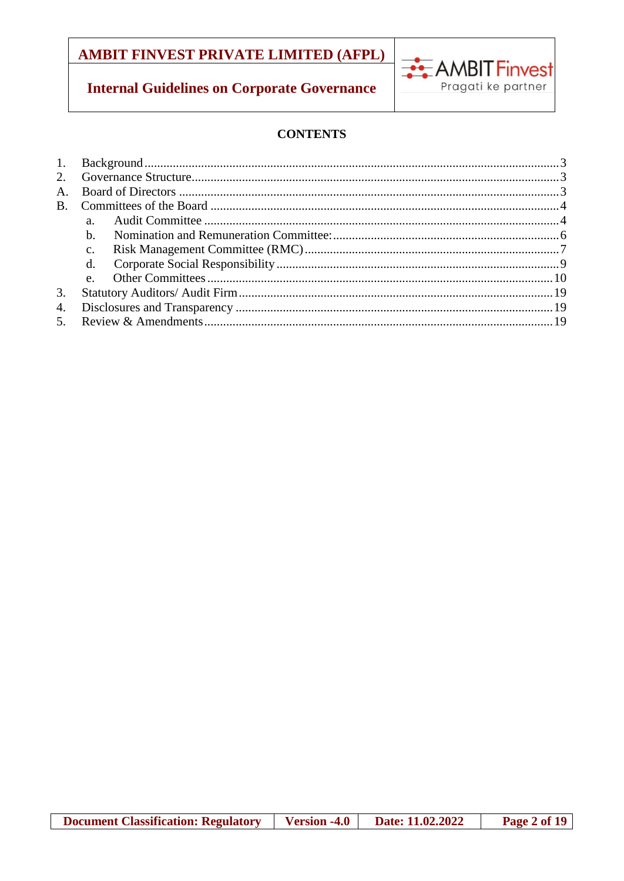# **Internal Guidelines on Corporate Governance**



### **CONTENTS**

| a.           |  |
|--------------|--|
| b.           |  |
| $c_{\cdot}$  |  |
| $d_{\cdot}$  |  |
| $\mathbf{e}$ |  |
|              |  |
|              |  |
|              |  |
|              |  |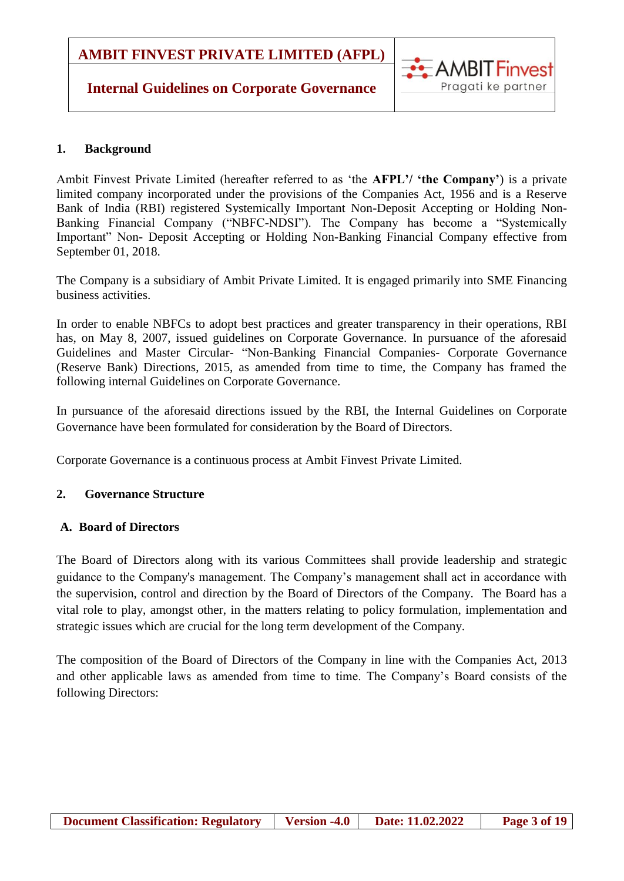### **Internal Guidelines on Corporate Governance**

#### <span id="page-2-0"></span>**1. Background**

Ambit Finvest Private Limited (hereafter referred to as 'the **AFPL'/ 'the Company'**) is a private limited company incorporated under the provisions of the Companies Act, 1956 and is a Reserve Bank of India (RBI) registered Systemically Important Non-Deposit Accepting or Holding Non-Banking Financial Company ("NBFC-NDSI"). The Company has become a "Systemically Important" Non- Deposit Accepting or Holding Non-Banking Financial Company effective from September 01, 2018.

AMBIT Finvest

Pragati ke partner

The Company is a subsidiary of Ambit Private Limited. It is engaged primarily into SME Financing business activities.

In order to enable NBFCs to adopt best practices and greater transparency in their operations, RBI has, on May 8, 2007, issued guidelines on Corporate Governance. In pursuance of the aforesaid Guidelines and Master Circular- "Non-Banking Financial Companies- Corporate Governance (Reserve Bank) Directions, 2015, as amended from time to time, the Company has framed the following internal Guidelines on Corporate Governance.

In pursuance of the aforesaid directions issued by the RBI, the Internal Guidelines on Corporate Governance have been formulated for consideration by the Board of Directors.

Corporate Governance is a continuous process at Ambit Finvest Private Limited.

#### <span id="page-2-1"></span>**2. Governance Structure**

#### <span id="page-2-2"></span>**A. Board of Directors**

The Board of Directors along with its various Committees shall provide leadership and strategic guidance to the Company's management. The Company's management shall act in accordance with the supervision, control and direction by the Board of Directors of the Company. The Board has a vital role to play, amongst other, in the matters relating to policy formulation, implementation and strategic issues which are crucial for the long term development of the Company.

The composition of the Board of Directors of the Company in line with the Companies Act, 2013 and other applicable laws as amended from time to time. The Company's Board consists of the following Directors: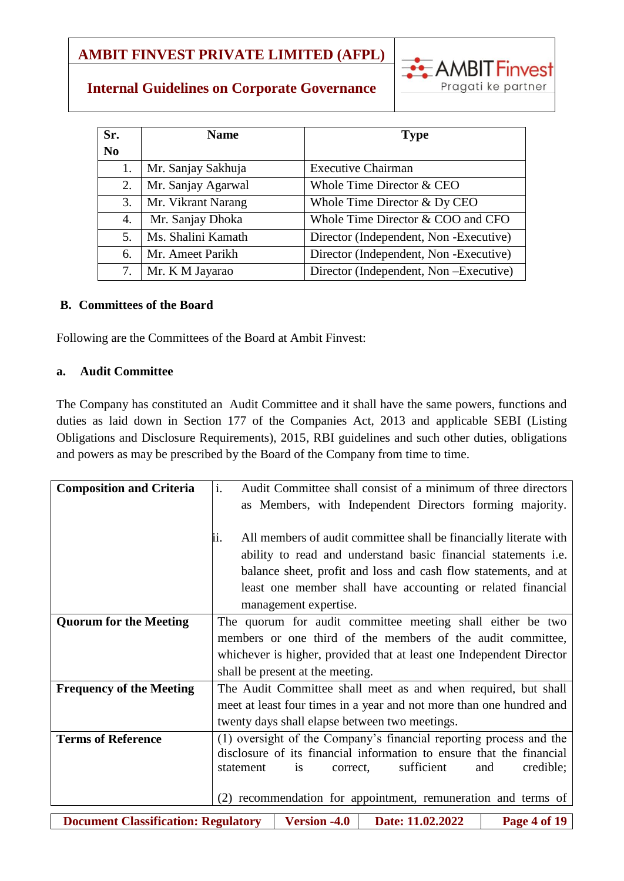

## **Internal Guidelines on Corporate Governance**

| Sr.<br>N <sub>0</sub> | <b>Name</b>        | <b>Type</b>                            |
|-----------------------|--------------------|----------------------------------------|
| 1.                    | Mr. Sanjay Sakhuja | <b>Executive Chairman</b>              |
| 2.                    | Mr. Sanjay Agarwal | Whole Time Director & CEO              |
| 3.                    | Mr. Vikrant Narang | Whole Time Director & Dy CEO           |
| 4.                    | Mr. Sanjay Dhoka   | Whole Time Director & COO and CFO      |
| 5.                    | Ms. Shalini Kamath | Director (Independent, Non -Executive) |
| 6.                    | Mr. Ameet Parikh   | Director (Independent, Non-Executive)  |
| 7.                    | Mr. K M Jayarao    | Director (Independent, Non-Executive)  |

#### <span id="page-3-0"></span>**B. Committees of the Board**

Following are the Committees of the Board at Ambit Finvest:

#### <span id="page-3-1"></span>**a. Audit Committee**

The Company has constituted an Audit Committee and it shall have the same powers, functions and duties as laid down in Section 177 of the Companies Act, 2013 and applicable SEBI (Listing Obligations and Disclosure Requirements), 2015, RBI guidelines and such other duties, obligations and powers as may be prescribed by the Board of the Company from time to time.

| <b>Composition and Criteria</b>            | i.<br>Audit Committee shall consist of a minimum of three directors      |
|--------------------------------------------|--------------------------------------------------------------------------|
|                                            | as Members, with Independent Directors forming majority.                 |
|                                            |                                                                          |
|                                            | All members of audit committee shall be financially literate with<br>ii. |
|                                            | ability to read and understand basic financial statements i.e.           |
|                                            | balance sheet, profit and loss and cash flow statements, and at          |
|                                            | least one member shall have accounting or related financial              |
|                                            | management expertise.                                                    |
| <b>Quorum for the Meeting</b>              | The quorum for audit committee meeting shall either be two               |
|                                            | members or one third of the members of the audit committee,              |
|                                            | whichever is higher, provided that at least one Independent Director     |
|                                            | shall be present at the meeting.                                         |
| <b>Frequency of the Meeting</b>            | The Audit Committee shall meet as and when required, but shall           |
|                                            | meet at least four times in a year and not more than one hundred and     |
|                                            | twenty days shall elapse between two meetings.                           |
| <b>Terms of Reference</b>                  | (1) oversight of the Company's financial reporting process and the       |
|                                            | disclosure of its financial information to ensure that the financial     |
|                                            | sufficient<br>credible;<br>statement<br>and<br><i>is</i><br>correct,     |
|                                            |                                                                          |
|                                            | recommendation for appointment, remuneration and terms of<br>(2)         |
| <b>Document Classification: Regulatory</b> | <b>Version -4.0</b><br>Date: 11.02.2022<br>Page 4 of 19                  |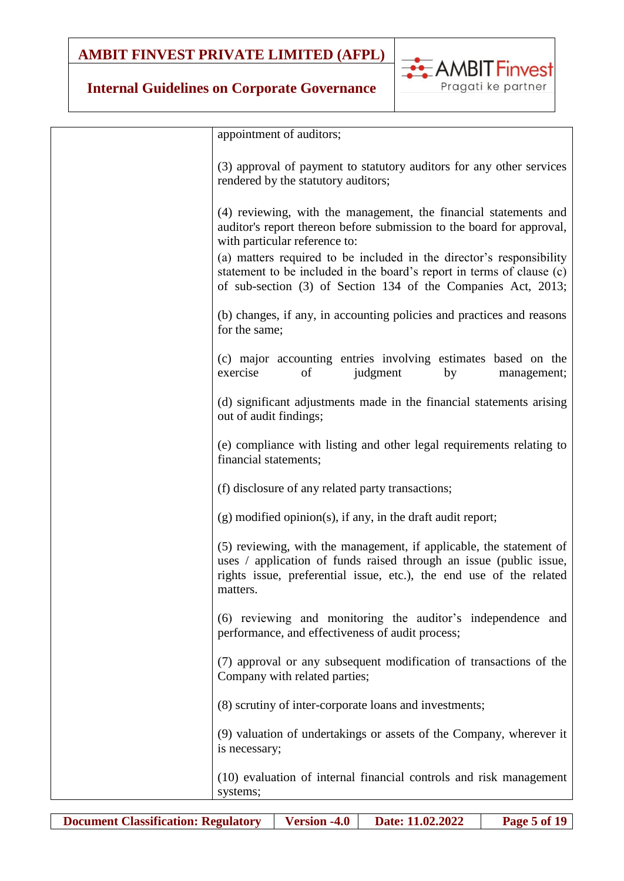## **Internal Guidelines on Corporate Governance**



**EXAMBIT Finvest** 

Pragati ke partner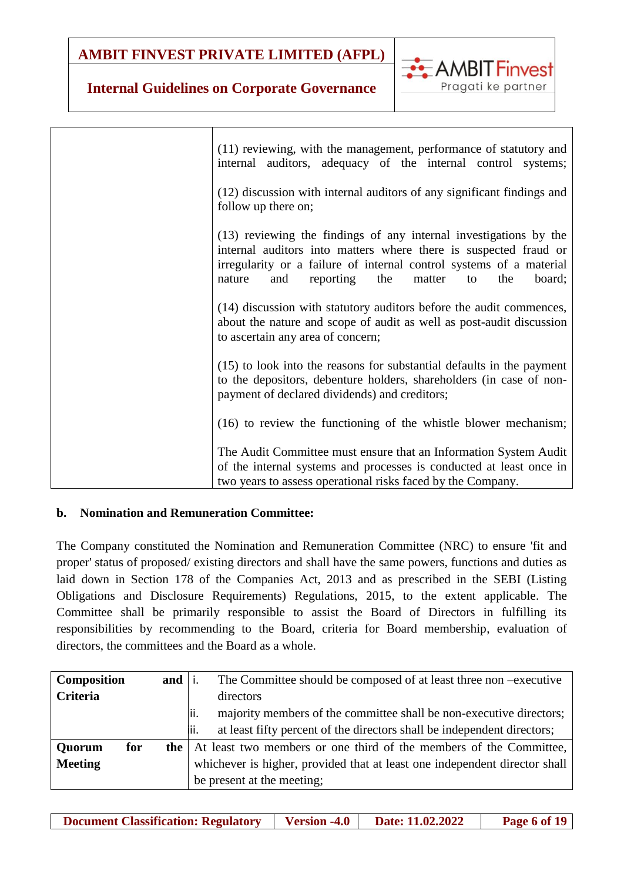

### **Internal Guidelines on Corporate Governance**

| (11) reviewing, with the management, performance of statutory and<br>internal auditors, adequacy of the internal control systems;                                                                                                                                                  |
|------------------------------------------------------------------------------------------------------------------------------------------------------------------------------------------------------------------------------------------------------------------------------------|
| (12) discussion with internal auditors of any significant findings and<br>follow up there on;                                                                                                                                                                                      |
| (13) reviewing the findings of any internal investigations by the<br>internal auditors into matters where there is suspected fraud or<br>irregularity or a failure of internal control systems of a material<br>reporting<br>the<br>nature<br>and<br>matter<br>the<br>board;<br>to |
| (14) discussion with statutory auditors before the audit commences,<br>about the nature and scope of audit as well as post-audit discussion<br>to ascertain any area of concern;                                                                                                   |
| (15) to look into the reasons for substantial defaults in the payment<br>to the depositors, debenture holders, shareholders (in case of non-<br>payment of declared dividends) and creditors;                                                                                      |
| (16) to review the functioning of the whistle blower mechanism;                                                                                                                                                                                                                    |
| The Audit Committee must ensure that an Information System Audit<br>of the internal systems and processes is conducted at least once in<br>two years to assess operational risks faced by the Company.                                                                             |

### <span id="page-5-0"></span>**b. Nomination and Remuneration Committee:**

The Company constituted the Nomination and Remuneration Committee (NRC) to ensure 'fit and proper' status of proposed/ existing directors and shall have the same powers, functions and duties as laid down in Section 178 of the Companies Act, 2013 and as prescribed in the SEBI (Listing Obligations and Disclosure Requirements) Regulations, 2015, to the extent applicable. The Committee shall be primarily responsible to assist the Board of Directors in fulfilling its responsibilities by recommending to the Board, criteria for Board membership, evaluation of directors, the committees and the Board as a whole.

| <b>Composition</b> | and i | The Committee should be composed of at least three non-executive                |  |
|--------------------|-------|---------------------------------------------------------------------------------|--|
| <b>Criteria</b>    |       | directors                                                                       |  |
|                    |       | majority members of the committee shall be non-executive directors;<br>lii.     |  |
|                    |       | at least fifty percent of the directors shall be independent directors;<br>lii. |  |
| Quorum<br>for      |       | <b>the</b> At least two members or one third of the members of the Committee,   |  |
| <b>Meeting</b>     |       | whichever is higher, provided that at least one independent director shall      |  |
|                    |       | be present at the meeting;                                                      |  |

**Document Classification: Regulatory | Version -4.0 | Date: 11.02.2022 | Page 6 of 19**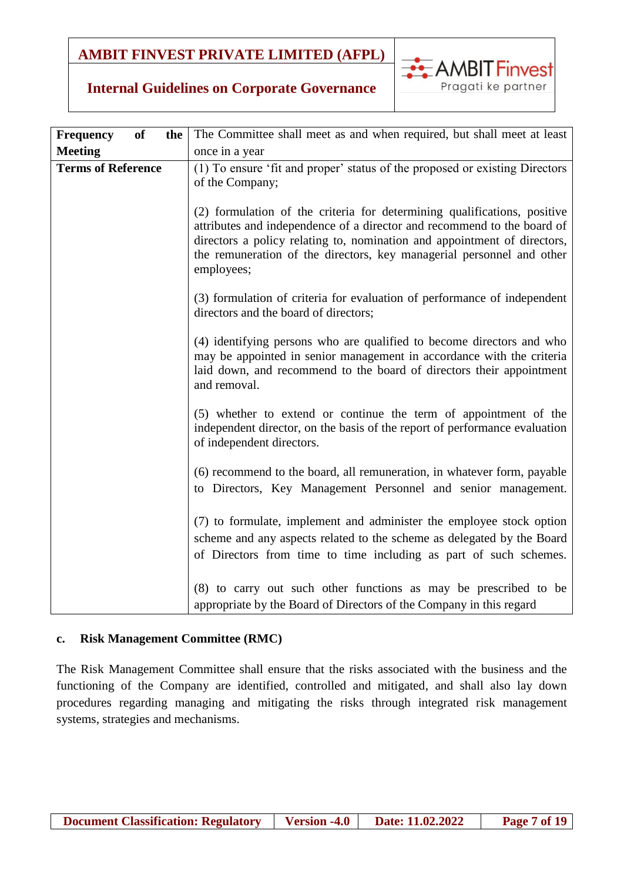

### **Internal Guidelines on Corporate Governance**

| <b>of</b><br><b>Frequency</b><br>the | The Committee shall meet as and when required, but shall meet at least                                                                                                                                                                                                                                                 |
|--------------------------------------|------------------------------------------------------------------------------------------------------------------------------------------------------------------------------------------------------------------------------------------------------------------------------------------------------------------------|
| <b>Meeting</b>                       | once in a year                                                                                                                                                                                                                                                                                                         |
| <b>Terms of Reference</b>            | (1) To ensure 'fit and proper' status of the proposed or existing Directors<br>of the Company;                                                                                                                                                                                                                         |
|                                      | (2) formulation of the criteria for determining qualifications, positive<br>attributes and independence of a director and recommend to the board of<br>directors a policy relating to, nomination and appointment of directors,<br>the remuneration of the directors, key managerial personnel and other<br>employees; |
|                                      | (3) formulation of criteria for evaluation of performance of independent<br>directors and the board of directors;                                                                                                                                                                                                      |
|                                      | (4) identifying persons who are qualified to become directors and who<br>may be appointed in senior management in accordance with the criteria<br>laid down, and recommend to the board of directors their appointment<br>and removal.                                                                                 |
|                                      | (5) whether to extend or continue the term of appointment of the<br>independent director, on the basis of the report of performance evaluation<br>of independent directors.                                                                                                                                            |
|                                      | (6) recommend to the board, all remuneration, in whatever form, payable<br>to Directors, Key Management Personnel and senior management.                                                                                                                                                                               |
|                                      | (7) to formulate, implement and administer the employee stock option<br>scheme and any aspects related to the scheme as delegated by the Board<br>of Directors from time to time including as part of such schemes.                                                                                                    |
|                                      | (8) to carry out such other functions as may be prescribed to be<br>appropriate by the Board of Directors of the Company in this regard                                                                                                                                                                                |

#### <span id="page-6-0"></span>**c. Risk Management Committee (RMC)**

The Risk Management Committee shall ensure that the risks associated with the business and the functioning of the Company are identified, controlled and mitigated, and shall also lay down procedures regarding managing and mitigating the risks through integrated risk management systems, strategies and mechanisms.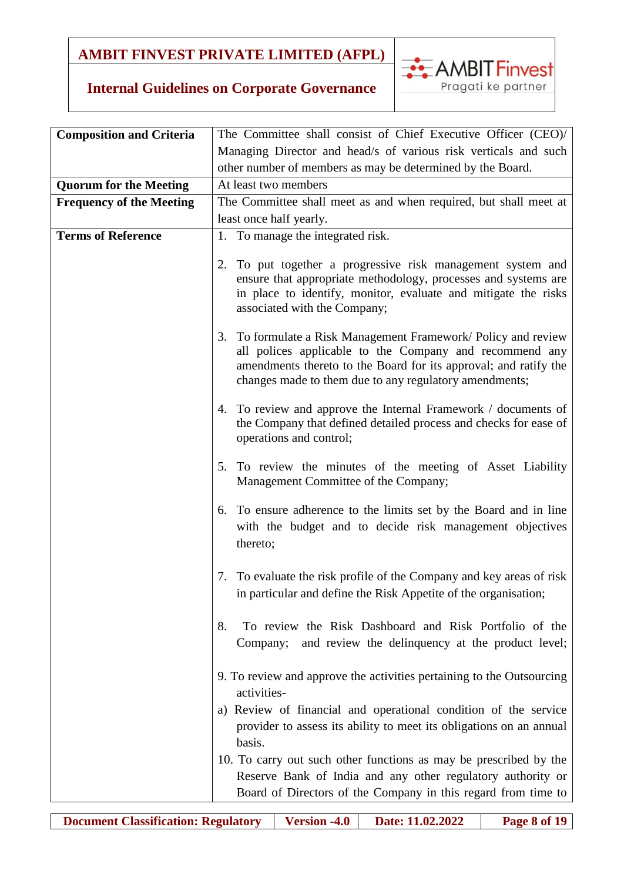

| <b>Composition and Criteria</b> | The Committee shall consist of Chief Executive Officer (CEO)/                                                                                                                                                                                           |
|---------------------------------|---------------------------------------------------------------------------------------------------------------------------------------------------------------------------------------------------------------------------------------------------------|
|                                 | Managing Director and head/s of various risk verticals and such                                                                                                                                                                                         |
|                                 | other number of members as may be determined by the Board.                                                                                                                                                                                              |
| <b>Quorum for the Meeting</b>   | At least two members                                                                                                                                                                                                                                    |
| <b>Frequency of the Meeting</b> | The Committee shall meet as and when required, but shall meet at                                                                                                                                                                                        |
|                                 | least once half yearly.                                                                                                                                                                                                                                 |
| <b>Terms of Reference</b>       | 1. To manage the integrated risk.                                                                                                                                                                                                                       |
|                                 | 2. To put together a progressive risk management system and<br>ensure that appropriate methodology, processes and systems are<br>in place to identify, monitor, evaluate and mitigate the risks<br>associated with the Company;                         |
|                                 | 3. To formulate a Risk Management Framework/ Policy and review<br>all polices applicable to the Company and recommend any<br>amendments thereto to the Board for its approval; and ratify the<br>changes made to them due to any regulatory amendments; |
|                                 | 4. To review and approve the Internal Framework / documents of<br>the Company that defined detailed process and checks for ease of<br>operations and control;                                                                                           |
|                                 | 5. To review the minutes of the meeting of Asset Liability<br>Management Committee of the Company;                                                                                                                                                      |
|                                 | 6. To ensure adherence to the limits set by the Board and in line<br>with the budget and to decide risk management objectives<br>thereto;                                                                                                               |
|                                 | 7. To evaluate the risk profile of the Company and key areas of risk<br>in particular and define the Risk Appetite of the organisation;                                                                                                                 |
|                                 | To review the Risk Dashboard and Risk Portfolio of the<br>8.<br>and review the delinquency at the product level;<br>Company;                                                                                                                            |
|                                 | 9. To review and approve the activities pertaining to the Outsourcing<br>activities-                                                                                                                                                                    |
|                                 | a) Review of financial and operational condition of the service<br>provider to assess its ability to meet its obligations on an annual<br>basis.                                                                                                        |
|                                 | 10. To carry out such other functions as may be prescribed by the<br>Reserve Bank of India and any other regulatory authority or<br>Board of Directors of the Company in this regard from time to                                                       |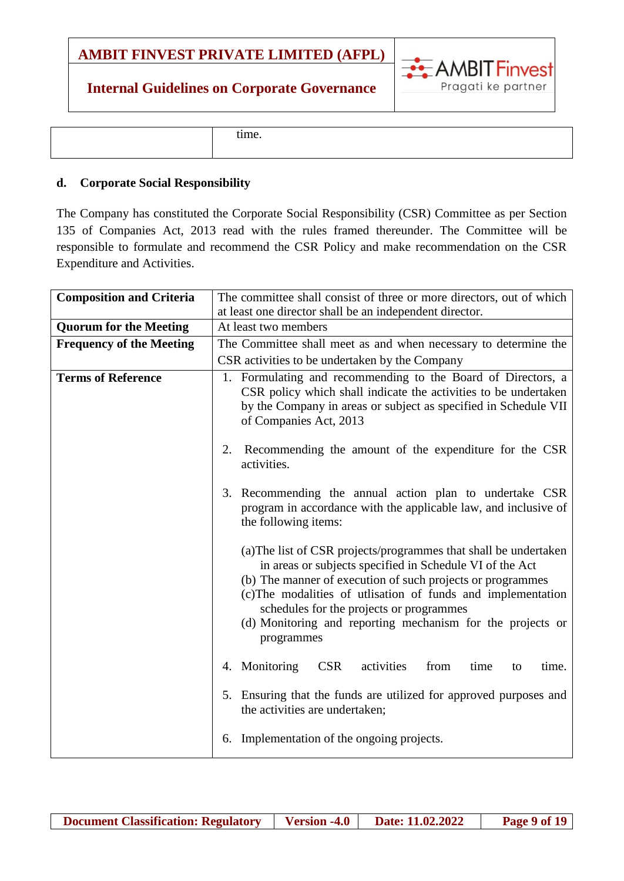## **Internal Guidelines on Corporate Governance**



|  | time. |  |
|--|-------|--|
|--|-------|--|

#### <span id="page-8-0"></span>**d. Corporate Social Responsibility**

The Company has constituted the Corporate Social Responsibility (CSR) Committee as per Section 135 of Companies Act, 2013 read with the rules framed thereunder. The Committee will be responsible to formulate and recommend the CSR Policy and make recommendation on the CSR Expenditure and Activities.

| <b>Composition and Criteria</b> | The committee shall consist of three or more directors, out of which                                                                                                                                                                                                                                                                                                               |
|---------------------------------|------------------------------------------------------------------------------------------------------------------------------------------------------------------------------------------------------------------------------------------------------------------------------------------------------------------------------------------------------------------------------------|
|                                 | at least one director shall be an independent director.                                                                                                                                                                                                                                                                                                                            |
| <b>Quorum for the Meeting</b>   | At least two members                                                                                                                                                                                                                                                                                                                                                               |
| <b>Frequency of the Meeting</b> | The Committee shall meet as and when necessary to determine the                                                                                                                                                                                                                                                                                                                    |
|                                 | CSR activities to be undertaken by the Company                                                                                                                                                                                                                                                                                                                                     |
| <b>Terms of Reference</b>       | 1. Formulating and recommending to the Board of Directors, a<br>CSR policy which shall indicate the activities to be undertaken<br>by the Company in areas or subject as specified in Schedule VII<br>of Companies Act, 2013                                                                                                                                                       |
|                                 | Recommending the amount of the expenditure for the CSR<br>2.<br>activities.                                                                                                                                                                                                                                                                                                        |
|                                 | 3. Recommending the annual action plan to undertake CSR<br>program in accordance with the applicable law, and inclusive of<br>the following items:                                                                                                                                                                                                                                 |
|                                 | (a) The list of CSR projects/programmes that shall be undertaken<br>in areas or subjects specified in Schedule VI of the Act<br>(b) The manner of execution of such projects or programmes<br>(c) The modalities of utlisation of funds and implementation<br>schedules for the projects or programmes<br>(d) Monitoring and reporting mechanism for the projects or<br>programmes |
|                                 | <b>CSR</b><br>4. Monitoring<br>activities<br>from<br>time<br>time.<br>to                                                                                                                                                                                                                                                                                                           |
|                                 | 5. Ensuring that the funds are utilized for approved purposes and<br>the activities are undertaken;                                                                                                                                                                                                                                                                                |
|                                 | 6. Implementation of the ongoing projects.                                                                                                                                                                                                                                                                                                                                         |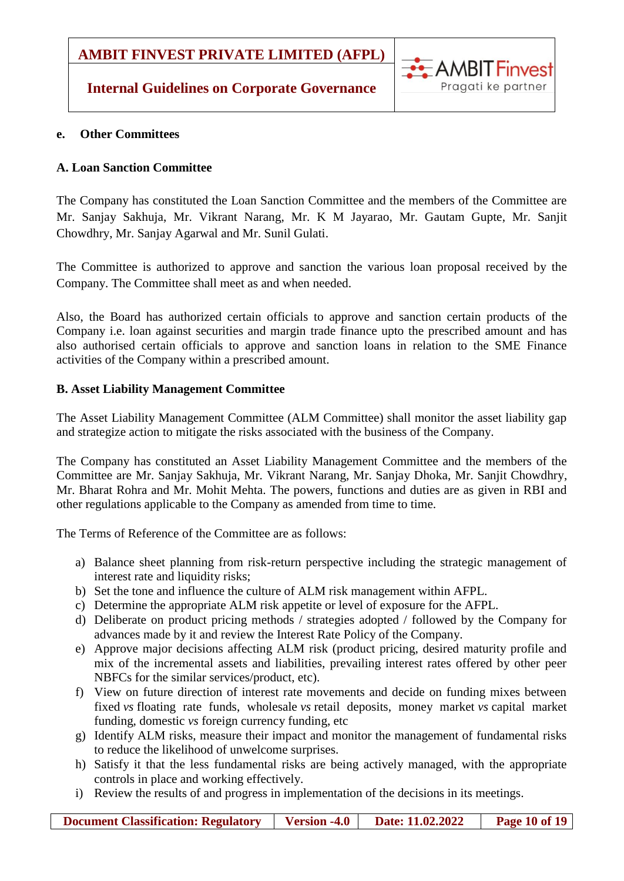### **Internal Guidelines on Corporate Governance**



#### <span id="page-9-0"></span>**e. Other Committees**

### **A. Loan Sanction Committee**

The Company has constituted the Loan Sanction Committee and the members of the Committee are Mr. Sanjay Sakhuja, Mr. Vikrant Narang, Mr. K M Jayarao, Mr. Gautam Gupte, Mr. Sanjit Chowdhry, Mr. Sanjay Agarwal and Mr. Sunil Gulati.

The Committee is authorized to approve and sanction the various loan proposal received by the Company. The Committee shall meet as and when needed.

Also, the Board has authorized certain officials to approve and sanction certain products of the Company i.e. loan against securities and margin trade finance upto the prescribed amount and has also authorised certain officials to approve and sanction loans in relation to the SME Finance activities of the Company within a prescribed amount.

### **B. Asset Liability Management Committee**

The Asset Liability Management Committee (ALM Committee) shall monitor the asset liability gap and strategize action to mitigate the risks associated with the business of the Company.

The Company has constituted an Asset Liability Management Committee and the members of the Committee are Mr. Sanjay Sakhuja, Mr. Vikrant Narang, Mr. Sanjay Dhoka, Mr. Sanjit Chowdhry, Mr. Bharat Rohra and Mr. Mohit Mehta. The powers, functions and duties are as given in RBI and other regulations applicable to the Company as amended from time to time.

The Terms of Reference of the Committee are as follows:

- a) Balance sheet planning from risk-return perspective including the strategic management of interest rate and liquidity risks;
- b) Set the tone and influence the culture of ALM risk management within AFPL.
- c) Determine the appropriate ALM risk appetite or level of exposure for the AFPL.
- d) Deliberate on product pricing methods / strategies adopted / followed by the Company for advances made by it and review the Interest Rate Policy of the Company.
- e) Approve major decisions affecting ALM risk (product pricing, desired maturity profile and mix of the incremental assets and liabilities, prevailing interest rates offered by other peer NBFCs for the similar services/product, etc).
- f) View on future direction of interest rate movements and decide on funding mixes between fixed *vs* floating rate funds, wholesale *vs* retail deposits, money market *vs* capital market funding, domestic *vs* foreign currency funding, etc
- g) Identify ALM risks, measure their impact and monitor the management of fundamental risks to reduce the likelihood of unwelcome surprises.
- h) Satisfy it that the less fundamental risks are being actively managed, with the appropriate controls in place and working effectively.
- i) Review the results of and progress in implementation of the decisions in its meetings.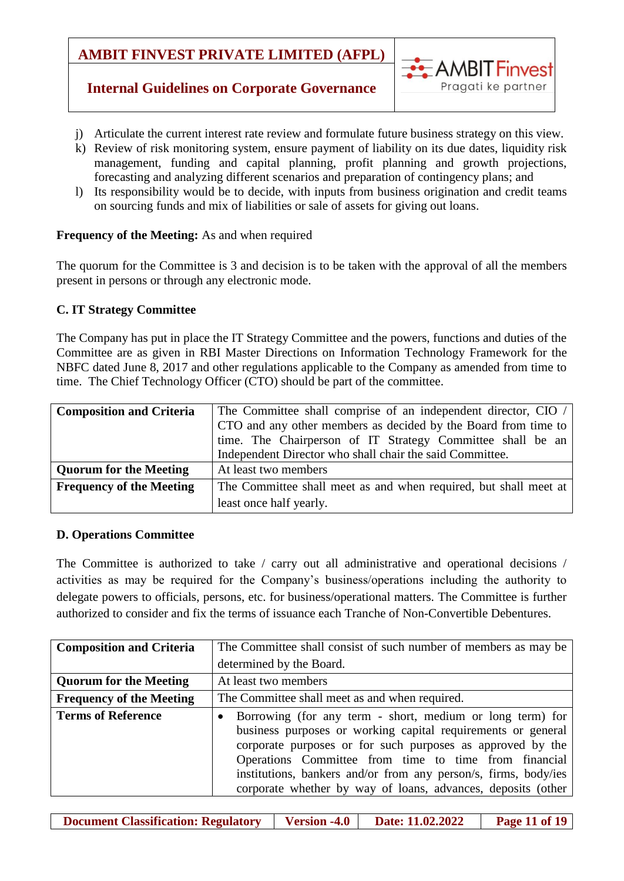

### **Internal Guidelines on Corporate Governance**

- j) Articulate the current interest rate review and formulate future business strategy on this view.
- k) Review of risk monitoring system, ensure payment of liability on its due dates, liquidity risk management, funding and capital planning, profit planning and growth projections, forecasting and analyzing different scenarios and preparation of contingency plans; and
- l) Its responsibility would be to decide, with inputs from business origination and credit teams on sourcing funds and mix of liabilities or sale of assets for giving out loans.

#### **Frequency of the Meeting:** As and when required

The quorum for the Committee is 3 and decision is to be taken with the approval of all the members present in persons or through any electronic mode.

#### **C. IT Strategy Committee**

The Company has put in place the IT Strategy Committee and the powers, functions and duties of the Committee are as given in RBI Master Directions on Information Technology Framework for the NBFC dated June 8, 2017 and other regulations applicable to the Company as amended from time to time. The Chief Technology Officer (CTO) should be part of the committee.

| <b>Composition and Criteria</b> | The Committee shall comprise of an independent director, CIO /   |
|---------------------------------|------------------------------------------------------------------|
|                                 | CTO and any other members as decided by the Board from time to   |
|                                 | time. The Chairperson of IT Strategy Committee shall be an       |
|                                 | Independent Director who shall chair the said Committee.         |
| <b>Quorum for the Meeting</b>   | At least two members                                             |
| <b>Frequency of the Meeting</b> | The Committee shall meet as and when required, but shall meet at |
|                                 | least once half yearly.                                          |

#### **D. Operations Committee**

The Committee is authorized to take / carry out all administrative and operational decisions / activities as may be required for the Company's business/operations including the authority to delegate powers to officials, persons, etc. for business/operational matters. The Committee is further authorized to consider and fix the terms of issuance each Tranche of Non-Convertible Debentures.

| <b>Composition and Criteria</b> | The Committee shall consist of such number of members as may be                                                                                                                                                                                                                                                                                                                                  |
|---------------------------------|--------------------------------------------------------------------------------------------------------------------------------------------------------------------------------------------------------------------------------------------------------------------------------------------------------------------------------------------------------------------------------------------------|
|                                 | determined by the Board.                                                                                                                                                                                                                                                                                                                                                                         |
| <b>Quorum for the Meeting</b>   | At least two members                                                                                                                                                                                                                                                                                                                                                                             |
| <b>Frequency of the Meeting</b> | The Committee shall meet as and when required.                                                                                                                                                                                                                                                                                                                                                   |
| <b>Terms of Reference</b>       | Borrowing (for any term - short, medium or long term) for<br>$\bullet$<br>business purposes or working capital requirements or general<br>corporate purposes or for such purposes as approved by the<br>Operations Committee from time to time from financial<br>institutions, bankers and/or from any person/s, firms, body/ies<br>corporate whether by way of loans, advances, deposits (other |

**Document Classification: Regulatory Version -4.0 Date: 11.02.2022 Page 11 of 19**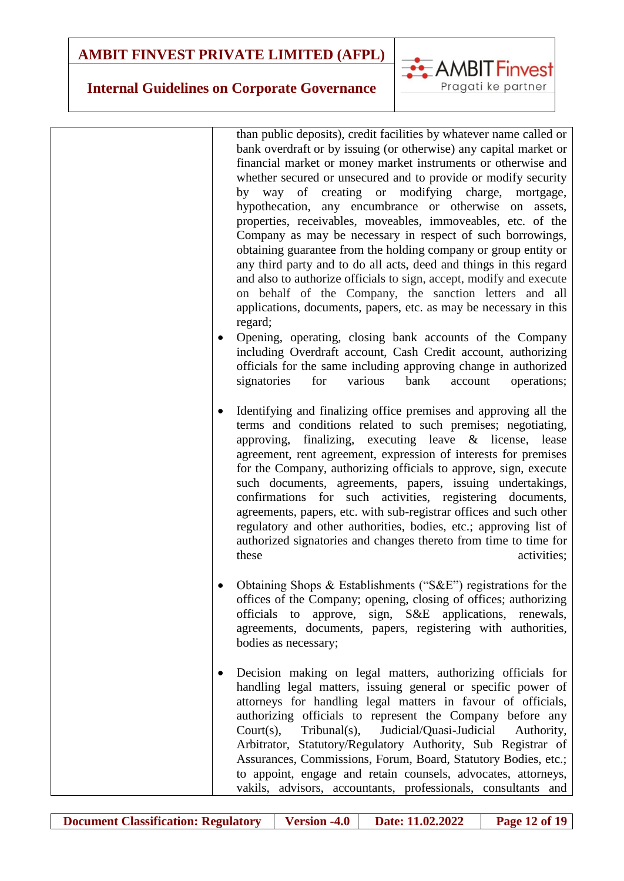## **Internal Guidelines on Corporate Governance**

than public deposits), credit facilities by whatever name called or bank overdraft or by issuing (or otherwise) any capital market or financial market or money market instruments or otherwise and whether secured or unsecured and to provide or modify security by way of creating or modifying charge, mortgage, hypothecation, any encumbrance or otherwise on assets, properties, receivables, moveables, immoveables, etc. of the Company as may be necessary in respect of such borrowings, obtaining guarantee from the holding company or group entity or any third party and to do all acts, deed and things in this regard and also to authorize officials to sign, accept, modify and execute on behalf of the Company, the sanction letters and all applications, documents, papers, etc. as may be necessary in this regard;

**EXAMBIT Finvest** 

Pragati ke partner

- Opening, operating, closing bank accounts of the Company including Overdraft account, Cash Credit account, authorizing officials for the same including approving change in authorized signatories for various bank account operations;
- Identifying and finalizing office premises and approving all the terms and conditions related to such premises; negotiating, approving, finalizing, executing leave & license, lease agreement, rent agreement, expression of interests for premises for the Company, authorizing officials to approve, sign, execute such documents, agreements, papers, issuing undertakings, confirmations for such activities, registering documents, agreements, papers, etc. with sub-registrar offices and such other regulatory and other authorities, bodies, etc.; approving list of authorized signatories and changes thereto from time to time for these activities:
- Obtaining Shops & Establishments ("S&E") registrations for the offices of the Company; opening, closing of offices; authorizing officials to approve, sign, S&E applications, renewals, agreements, documents, papers, registering with authorities, bodies as necessary;

 Decision making on legal matters, authorizing officials for handling legal matters, issuing general or specific power of attorneys for handling legal matters in favour of officials, authorizing officials to represent the Company before any Court(s), Tribunal(s), Judicial/Quasi-Judicial Authority, Arbitrator, Statutory/Regulatory Authority, Sub Registrar of Assurances, Commissions, Forum, Board, Statutory Bodies, etc.; to appoint, engage and retain counsels, advocates, attorneys, vakils, advisors, accountants, professionals, consultants and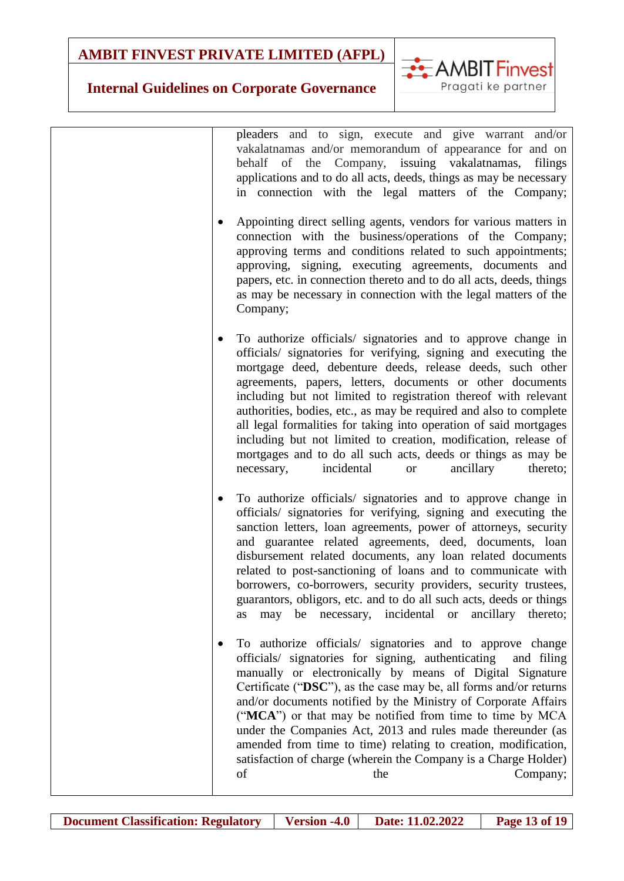

### **Internal Guidelines on Corporate Governance**

pleaders and to sign, execute and give warrant and/or vakalatnamas and/or memorandum of appearance for and on behalf of the Company, issuing vakalatnamas, filings applications and to do all acts, deeds, things as may be necessary in connection with the legal matters of the Company; Appointing direct selling agents, vendors for various matters in connection with the business/operations of the Company; approving terms and conditions related to such appointments; approving, signing, executing agreements, documents and papers, etc. in connection thereto and to do all acts, deeds, things as may be necessary in connection with the legal matters of the Company; To authorize officials/ signatories and to approve change in officials/ signatories for verifying, signing and executing the mortgage deed, debenture deeds, release deeds, such other agreements, papers, letters, documents or other documents including but not limited to registration thereof with relevant authorities, bodies, etc., as may be required and also to complete all legal formalities for taking into operation of said mortgages including but not limited to creation, modification, release of mortgages and to do all such acts, deeds or things as may be necessary, incidental or ancillary thereto; To authorize officials/ signatories and to approve change in officials/ signatories for verifying, signing and executing the sanction letters, loan agreements, power of attorneys, security and guarantee related agreements, deed, documents, loan disbursement related documents, any loan related documents related to post-sanctioning of loans and to communicate with borrowers, co-borrowers, security providers, security trustees, guarantors, obligors, etc. and to do all such acts, deeds or things as may be necessary, incidental or ancillary thereto; To authorize officials/ signatories and to approve change officials/ signatories for signing, authenticating and filing manually or electronically by means of Digital Signature Certificate ("**DSC**"), as the case may be, all forms and/or returns and/or documents notified by the Ministry of Corporate Affairs ("**MCA**") or that may be notified from time to time by MCA under the Companies Act, 2013 and rules made thereunder (as amended from time to time) relating to creation, modification, satisfaction of charge (wherein the Company is a Charge Holder) of the the Company;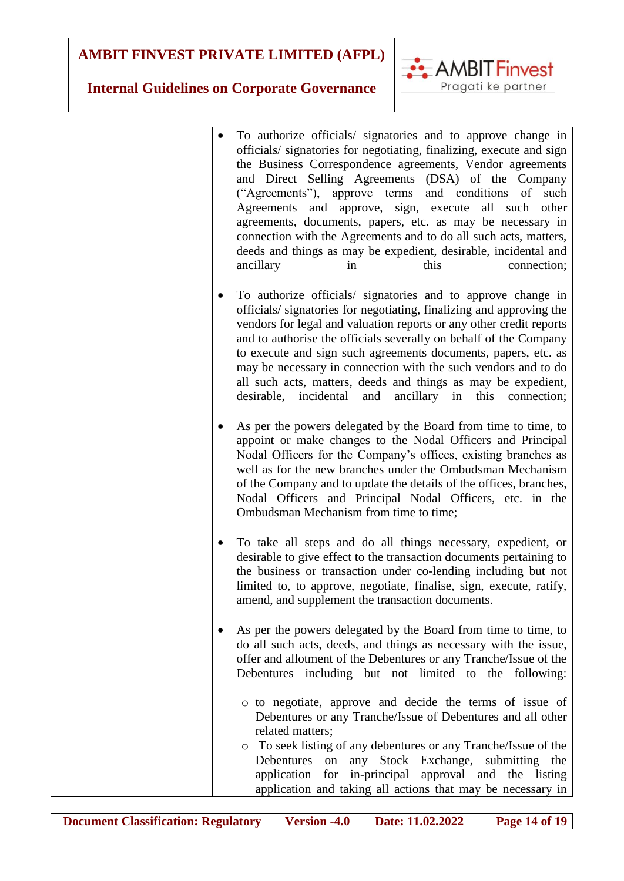

| To authorize officials/ signatories and to approve change in<br>officials/ signatories for negotiating, finalizing, execute and sign<br>the Business Correspondence agreements, Vendor agreements<br>and Direct Selling Agreements (DSA) of the Company<br>("Agreements"), approve terms and conditions of such<br>Agreements and approve, sign, execute all such<br>other<br>agreements, documents, papers, etc. as may be necessary in<br>connection with the Agreements and to do all such acts, matters,<br>deeds and things as may be expedient, desirable, incidental and<br>ancillary<br>this<br>connection;<br>in |
|---------------------------------------------------------------------------------------------------------------------------------------------------------------------------------------------------------------------------------------------------------------------------------------------------------------------------------------------------------------------------------------------------------------------------------------------------------------------------------------------------------------------------------------------------------------------------------------------------------------------------|
| To authorize officials/ signatories and to approve change in<br>٠<br>officials/signatories for negotiating, finalizing and approving the<br>vendors for legal and valuation reports or any other credit reports<br>and to authorise the officials severally on behalf of the Company<br>to execute and sign such agreements documents, papers, etc. as<br>may be necessary in connection with the such vendors and to do<br>all such acts, matters, deeds and things as may be expedient,<br>desirable, incidental<br>ancillary<br>and<br>in this<br>connection;                                                          |
| As per the powers delegated by the Board from time to time, to<br>appoint or make changes to the Nodal Officers and Principal<br>Nodal Officers for the Company's offices, existing branches as<br>well as for the new branches under the Ombudsman Mechanism<br>of the Company and to update the details of the offices, branches,<br>Nodal Officers and Principal Nodal Officers, etc. in the<br>Ombudsman Mechanism from time to time;                                                                                                                                                                                 |
| To take all steps and do all things necessary, expedient, or<br>desirable to give effect to the transaction documents pertaining to<br>the business or transaction under co-lending including but not<br>limited to, to approve, negotiate, finalise, sign, execute, ratify,<br>amend, and supplement the transaction documents.                                                                                                                                                                                                                                                                                          |
| As per the powers delegated by the Board from time to time, to<br>do all such acts, deeds, and things as necessary with the issue,<br>offer and allotment of the Debentures or any Tranche/Issue of the<br>Debentures including but not limited to the following:                                                                                                                                                                                                                                                                                                                                                         |
| o to negotiate, approve and decide the terms of issue of<br>Debentures or any Tranche/Issue of Debentures and all other<br>related matters;<br>• To seek listing of any debentures or any Tranche/Issue of the<br>any Stock Exchange, submitting the<br>Debentures<br>on<br>application for in-principal approval and the listing<br>application and taking all actions that may be necessary in                                                                                                                                                                                                                          |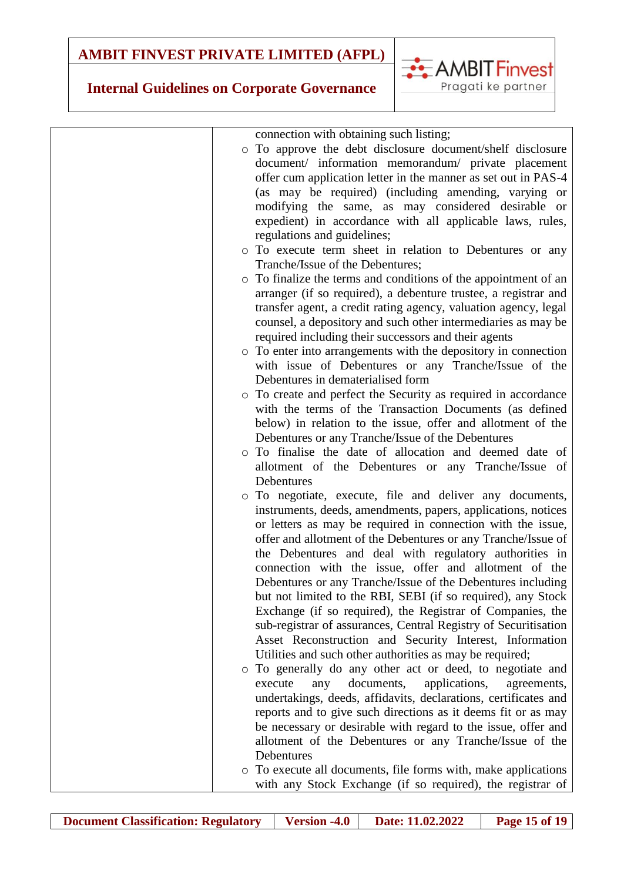

| connection with obtaining such listing;<br>o To approve the debt disclosure document/shelf disclosure<br>document/ information memorandum/ private placement<br>offer cum application letter in the manner as set out in PAS-4<br>(as may be required) (including amending, varying or<br>modifying the same, as may considered desirable or<br>expedient) in accordance with all applicable laws, rules,<br>regulations and guidelines;<br>To execute term sheet in relation to Debentures or any<br>$\circ$<br>Tranche/Issue of the Debentures;<br>• To finalize the terms and conditions of the appointment of an<br>arranger (if so required), a debenture trustee, a registrar and<br>transfer agent, a credit rating agency, valuation agency, legal<br>counsel, a depository and such other intermediaries as may be<br>required including their successors and their agents<br>• To enter into arrangements with the depository in connection<br>with issue of Debentures or any Tranche/Issue of the<br>Debentures in dematerialised form<br>o To create and perfect the Security as required in accordance<br>with the terms of the Transaction Documents (as defined<br>below) in relation to the issue, offer and allotment of the<br>Debentures or any Tranche/Issue of the Debentures<br>To finalise the date of allocation and deemed date of<br>$\circ$<br>allotment of the Debentures or any Tranche/Issue of<br>Debentures<br>o To negotiate, execute, file and deliver any documents,<br>instruments, deeds, amendments, papers, applications, notices<br>or letters as may be required in connection with the issue,<br>offer and allotment of the Debentures or any Tranche/Issue of<br>the Debentures and deal with regulatory authorities in<br>connection with the issue, offer and allotment of the<br>Debentures or any Tranche/Issue of the Debentures including<br>but not limited to the RBI, SEBI (if so required), any Stock<br>Exchange (if so required), the Registrar of Companies, the<br>sub-registrar of assurances, Central Registry of Securitisation<br>Asset Reconstruction and Security Interest, Information<br>Utilities and such other authorities as may be required;<br>o To generally do any other act or deed, to negotiate and |
|----------------------------------------------------------------------------------------------------------------------------------------------------------------------------------------------------------------------------------------------------------------------------------------------------------------------------------------------------------------------------------------------------------------------------------------------------------------------------------------------------------------------------------------------------------------------------------------------------------------------------------------------------------------------------------------------------------------------------------------------------------------------------------------------------------------------------------------------------------------------------------------------------------------------------------------------------------------------------------------------------------------------------------------------------------------------------------------------------------------------------------------------------------------------------------------------------------------------------------------------------------------------------------------------------------------------------------------------------------------------------------------------------------------------------------------------------------------------------------------------------------------------------------------------------------------------------------------------------------------------------------------------------------------------------------------------------------------------------------------------------------------------------------------------------------------------------------------------------------------------------------------------------------------------------------------------------------------------------------------------------------------------------------------------------------------------------------------------------------------------------------------------------------------------------------------------------------------------------------------------------------------------------------|
|                                                                                                                                                                                                                                                                                                                                                                                                                                                                                                                                                                                                                                                                                                                                                                                                                                                                                                                                                                                                                                                                                                                                                                                                                                                                                                                                                                                                                                                                                                                                                                                                                                                                                                                                                                                                                                                                                                                                                                                                                                                                                                                                                                                                                                                                                  |
| applications,<br>execute<br>documents,<br>any<br>agreements,<br>undertakings, deeds, affidavits, declarations, certificates and<br>reports and to give such directions as it deems fit or as may<br>be necessary or desirable with regard to the issue, offer and<br>allotment of the Debentures or any Tranche/Issue of the<br>Debentures<br>o To execute all documents, file forms with, make applications                                                                                                                                                                                                                                                                                                                                                                                                                                                                                                                                                                                                                                                                                                                                                                                                                                                                                                                                                                                                                                                                                                                                                                                                                                                                                                                                                                                                                                                                                                                                                                                                                                                                                                                                                                                                                                                                     |
| with any Stock Exchange (if so required), the registrar of                                                                                                                                                                                                                                                                                                                                                                                                                                                                                                                                                                                                                                                                                                                                                                                                                                                                                                                                                                                                                                                                                                                                                                                                                                                                                                                                                                                                                                                                                                                                                                                                                                                                                                                                                                                                                                                                                                                                                                                                                                                                                                                                                                                                                       |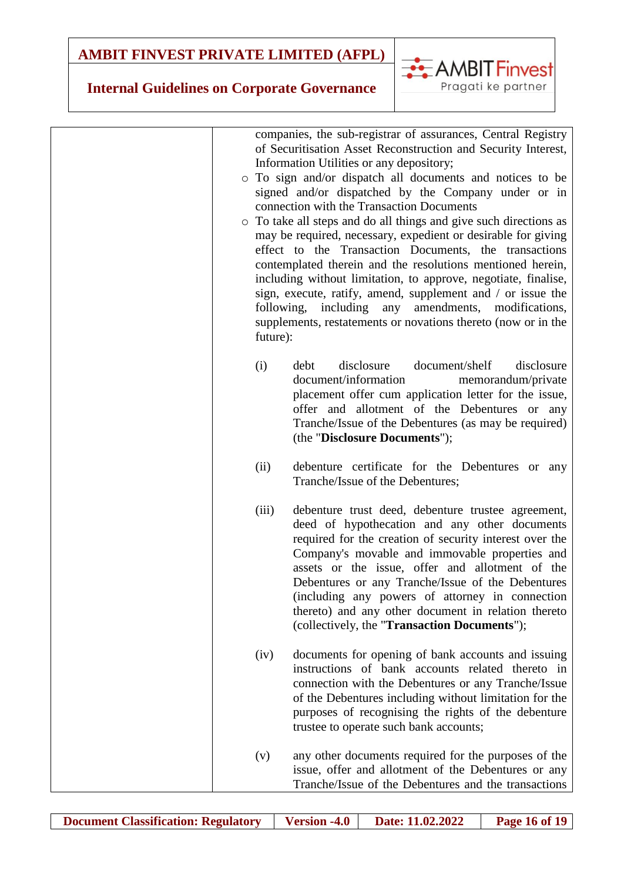

| companies, the sub-registrar of assurances, Central Registry<br>of Securitisation Asset Reconstruction and Security Interest,<br>Information Utilities or any depository;<br>o To sign and/or dispatch all documents and notices to be<br>signed and/or dispatched by the Company under or in<br>connection with the Transaction Documents<br>o To take all steps and do all things and give such directions as<br>may be required, necessary, expedient or desirable for giving<br>effect to the Transaction Documents, the transactions<br>contemplated therein and the resolutions mentioned herein,<br>including without limitation, to approve, negotiate, finalise,<br>sign, execute, ratify, amend, supplement and / or issue the<br>following, including any<br>amendments, modifications,<br>supplements, restatements or novations thereto (now or in the<br>future): |
|---------------------------------------------------------------------------------------------------------------------------------------------------------------------------------------------------------------------------------------------------------------------------------------------------------------------------------------------------------------------------------------------------------------------------------------------------------------------------------------------------------------------------------------------------------------------------------------------------------------------------------------------------------------------------------------------------------------------------------------------------------------------------------------------------------------------------------------------------------------------------------|
| disclosure<br>document/shelf<br>disclosure<br>debt<br>(i)<br>document/information<br>memorandum/private<br>placement offer cum application letter for the issue,<br>offer and allotment of the Debentures or any<br>Tranche/Issue of the Debentures (as may be required)<br>(the "Disclosure Documents");                                                                                                                                                                                                                                                                                                                                                                                                                                                                                                                                                                       |
| debenture certificate for the Debentures or any<br>(ii)<br>Tranche/Issue of the Debentures;                                                                                                                                                                                                                                                                                                                                                                                                                                                                                                                                                                                                                                                                                                                                                                                     |
| (iii)<br>debenture trust deed, debenture trustee agreement,<br>deed of hypothecation and any other documents<br>required for the creation of security interest over the<br>Company's movable and immovable properties and<br>assets or the issue, offer and allotment of the<br>Debentures or any Tranche/Issue of the Debentures<br>(including any powers of attorney in connection<br>thereto) and any other document in relation thereto<br>(collectively, the "Transaction Documents");                                                                                                                                                                                                                                                                                                                                                                                     |
| documents for opening of bank accounts and issuing<br>(iv)<br>instructions of bank accounts related thereto in<br>connection with the Debentures or any Tranche/Issue<br>of the Debentures including without limitation for the<br>purposes of recognising the rights of the debenture<br>trustee to operate such bank accounts;                                                                                                                                                                                                                                                                                                                                                                                                                                                                                                                                                |
| any other documents required for the purposes of the<br>(v)<br>issue, offer and allotment of the Debentures or any<br>Tranche/Issue of the Debentures and the transactions                                                                                                                                                                                                                                                                                                                                                                                                                                                                                                                                                                                                                                                                                                      |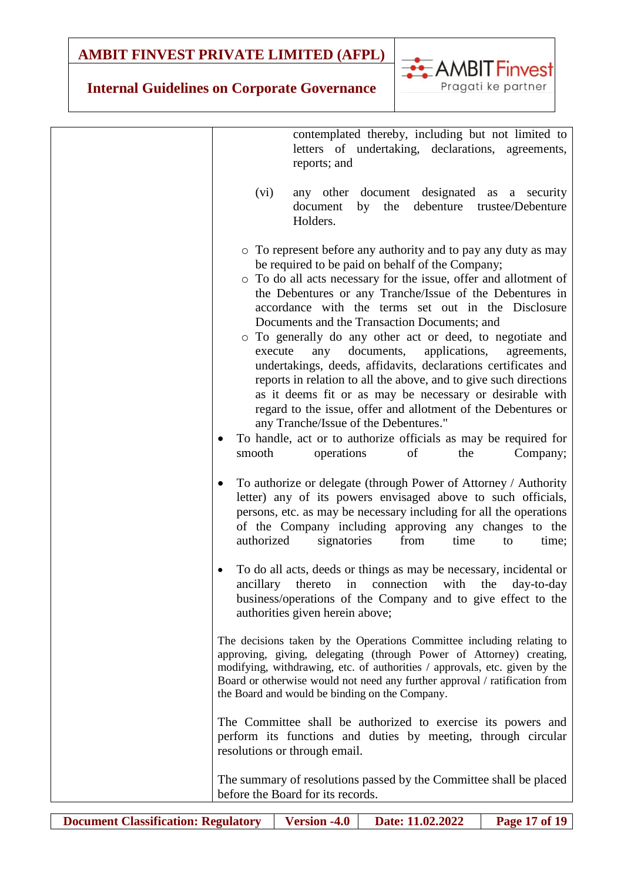**AMBIT Finvest** 

Pragati ke partner

| contemplated thereby, including but not limited to<br>letters of undertaking, declarations, agreements,<br>reports; and                                                                                                                                                                                                                                                                                                                                                                                                                                                                                                                                                                                                                                                                                                                                                                                                 |
|-------------------------------------------------------------------------------------------------------------------------------------------------------------------------------------------------------------------------------------------------------------------------------------------------------------------------------------------------------------------------------------------------------------------------------------------------------------------------------------------------------------------------------------------------------------------------------------------------------------------------------------------------------------------------------------------------------------------------------------------------------------------------------------------------------------------------------------------------------------------------------------------------------------------------|
| any other document designated as a security<br>(vi)<br>debenture<br>the<br>trustee/Debenture<br>document<br>by<br>Holders.                                                                                                                                                                                                                                                                                                                                                                                                                                                                                                                                                                                                                                                                                                                                                                                              |
| • To represent before any authority and to pay any duty as may<br>be required to be paid on behalf of the Company;<br>o To do all acts necessary for the issue, offer and allotment of<br>the Debentures or any Tranche/Issue of the Debentures in<br>accordance with the terms set out in the Disclosure<br>Documents and the Transaction Documents; and<br>o To generally do any other act or deed, to negotiate and<br>execute<br>documents,<br>applications,<br>any<br>agreements,<br>undertakings, deeds, affidavits, declarations certificates and<br>reports in relation to all the above, and to give such directions<br>as it deems fit or as may be necessary or desirable with<br>regard to the issue, offer and allotment of the Debentures or<br>any Tranche/Issue of the Debentures."<br>To handle, act or to authorize officials as may be required for<br>operations<br>Company;<br>smooth<br>of<br>the |
| To authorize or delegate (through Power of Attorney / Authority<br>٠<br>letter) any of its powers envisaged above to such officials,<br>persons, etc. as may be necessary including for all the operations<br>of the Company including approving any changes to the<br>authorized<br>from<br>signatories<br>time<br>time;<br>to                                                                                                                                                                                                                                                                                                                                                                                                                                                                                                                                                                                         |
| To do all acts, deeds or things as may be necessary, incidental or<br>ancillary<br>in<br>thereto<br>connection<br>with<br>the<br>day-to-day<br>business/operations of the Company and to give effect to the<br>authorities given herein above;                                                                                                                                                                                                                                                                                                                                                                                                                                                                                                                                                                                                                                                                          |
| The decisions taken by the Operations Committee including relating to<br>approving, giving, delegating (through Power of Attorney) creating,<br>modifying, withdrawing, etc. of authorities / approvals, etc. given by the<br>Board or otherwise would not need any further approval / ratification from<br>the Board and would be binding on the Company.                                                                                                                                                                                                                                                                                                                                                                                                                                                                                                                                                              |
| The Committee shall be authorized to exercise its powers and<br>perform its functions and duties by meeting, through circular<br>resolutions or through email.                                                                                                                                                                                                                                                                                                                                                                                                                                                                                                                                                                                                                                                                                                                                                          |
| The summary of resolutions passed by the Committee shall be placed<br>before the Board for its records.                                                                                                                                                                                                                                                                                                                                                                                                                                                                                                                                                                                                                                                                                                                                                                                                                 |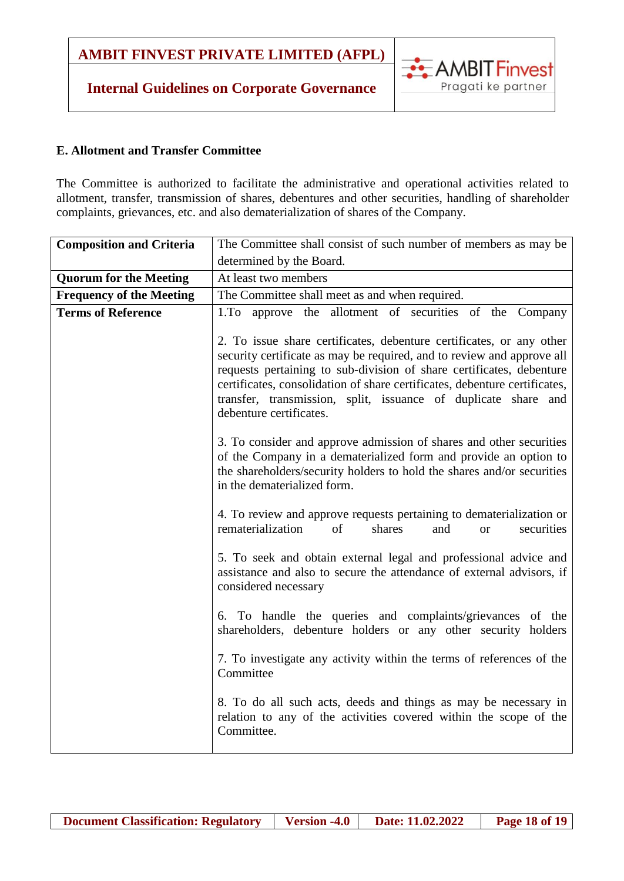### **Internal Guidelines on Corporate Governance**



#### **E. Allotment and Transfer Committee**

The Committee is authorized to facilitate the administrative and operational activities related to allotment, transfer, transmission of shares, debentures and other securities, handling of shareholder complaints, grievances, etc. and also dematerialization of shares of the Company.

| <b>Composition and Criteria</b> | The Committee shall consist of such number of members as may be                                                                                                                                                                                                                                                                                                                                   |
|---------------------------------|---------------------------------------------------------------------------------------------------------------------------------------------------------------------------------------------------------------------------------------------------------------------------------------------------------------------------------------------------------------------------------------------------|
|                                 | determined by the Board.                                                                                                                                                                                                                                                                                                                                                                          |
| <b>Quorum for the Meeting</b>   | At least two members                                                                                                                                                                                                                                                                                                                                                                              |
| <b>Frequency of the Meeting</b> | The Committee shall meet as and when required.                                                                                                                                                                                                                                                                                                                                                    |
| <b>Terms of Reference</b>       | 1. To approve the allotment of securities of the Company                                                                                                                                                                                                                                                                                                                                          |
|                                 | 2. To issue share certificates, debenture certificates, or any other<br>security certificate as may be required, and to review and approve all<br>requests pertaining to sub-division of share certificates, debenture<br>certificates, consolidation of share certificates, debenture certificates,<br>transfer, transmission, split, issuance of duplicate share and<br>debenture certificates. |
|                                 | 3. To consider and approve admission of shares and other securities<br>of the Company in a dematerialized form and provide an option to<br>the shareholders/security holders to hold the shares and/or securities<br>in the dematerialized form.                                                                                                                                                  |
|                                 | 4. To review and approve requests pertaining to dematerialization or<br>rematerialization<br>of<br>shares<br>and<br>securities<br><b>or</b>                                                                                                                                                                                                                                                       |
|                                 | 5. To seek and obtain external legal and professional advice and<br>assistance and also to secure the attendance of external advisors, if<br>considered necessary                                                                                                                                                                                                                                 |
|                                 | 6. To handle the queries and complaints/grievances of the<br>shareholders, debenture holders or any other security holders                                                                                                                                                                                                                                                                        |
|                                 | 7. To investigate any activity within the terms of references of the<br>Committee                                                                                                                                                                                                                                                                                                                 |
|                                 | 8. To do all such acts, deeds and things as may be necessary in<br>relation to any of the activities covered within the scope of the<br>Committee.                                                                                                                                                                                                                                                |